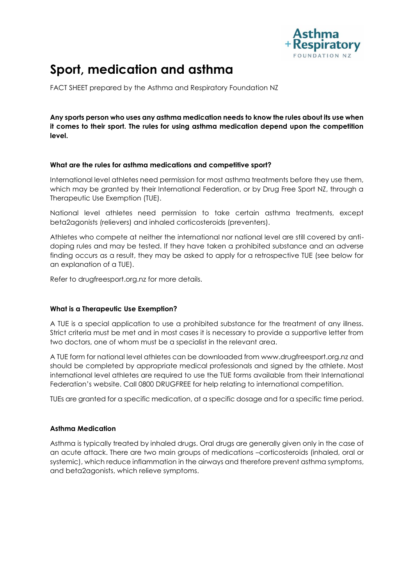

# **Sport, medication and asthma**

FACT SHEET prepared by the Asthma and Respiratory Foundation NZ

**Any sports person who uses any asthma medication needs to know the rules about its use when it comes to their sport. The rules for using asthma medication depend upon the competition level.** 

### **What are the rules for asthma medications and competitive sport?**

International level athletes need permission for most asthma treatments before they use them, which may be granted by their International Federation, or by Drug Free Sport NZ, through a Therapeutic Use Exemption (TUE).

National level athletes need permission to take certain asthma treatments, except beta2agonists (relievers) and inhaled corticosteroids (preventers).

Athletes who compete at neither the international nor national level are still covered by antidoping rules and may be tested. If they have taken a prohibited substance and an adverse finding occurs as a result, they may be asked to apply for a retrospective TUE (see below for an explanation of a TUE).

Refer to drugfreesport.org.nz for more details.

## **What is a Therapeutic Use Exemption?**

A TUE is a special application to use a prohibited substance for the treatment of any illness. Strict criteria must be met and in most cases it is necessary to provide a supportive letter from two doctors, one of whom must be a specialist in the relevant area.

A TUE form for national level athletes can be downloaded from www.drugfreesport.org.nz and should be completed by appropriate medical professionals and signed by the athlete. Most international level athletes are required to use the TUE forms available from their International Federation's website. Call 0800 DRUGFREE for help relating to international competition.

TUEs are granted for a specific medication, at a specific dosage and for a specific time period.

#### **Asthma Medication**

Asthma is typically treated by inhaled drugs. Oral drugs are generally given only in the case of an acute attack. There are two main groups of medications –corticosteroids (inhaled, oral or systemic), which reduce inflammation in the airways and therefore prevent asthma symptoms, and beta2agonists, which relieve symptoms.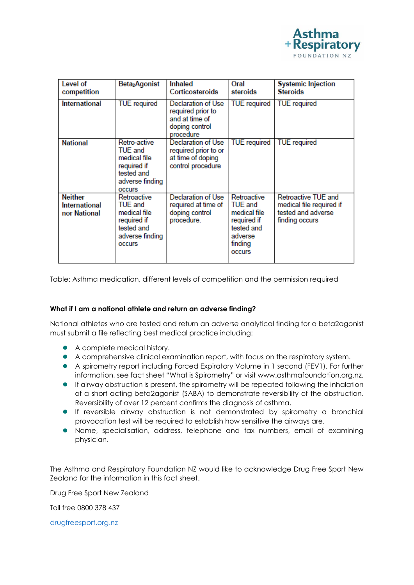

| Level of<br>competition                                | Beta <sub>2</sub> Agonist                                                                                       | Inhaled<br>Corticosteroids                                                               | Oral<br>steroids                                                                                                  | <b>Systemic Injection</b><br><b>Steroids</b>                                            |
|--------------------------------------------------------|-----------------------------------------------------------------------------------------------------------------|------------------------------------------------------------------------------------------|-------------------------------------------------------------------------------------------------------------------|-----------------------------------------------------------------------------------------|
| <b>International</b>                                   | <b>TUE</b> required                                                                                             | Declaration of Use<br>required prior to<br>and at time of<br>doping control<br>procedure | <b>TUE</b> required                                                                                               | <b>TUE</b> required                                                                     |
| <b>National</b>                                        | Retro-active<br>TUE and<br>medical file<br>required if<br>tested and<br>adverse finding<br><b>OCCUIS</b>        | Declaration of Use<br>required prior to or<br>at time of doping<br>control procedure     | <b>TUE</b> required                                                                                               | <b>TUE</b> required                                                                     |
| <b>Neither</b><br><b>International</b><br>nor National | Retroactive<br><b>TUE and</b><br>medical file<br>required if<br>tested and<br>adverse finding<br><b>OCCULLS</b> | Declaration of Use<br>required at time of<br>doping control<br>procedure.                | Retroactive<br><b>TUE</b> and<br>medical file<br>required if<br>tested and<br>adverse<br>finding<br><b>OCCUIS</b> | Retroactive TUE and<br>medical file required if<br>tested and adverse<br>finding occurs |

Table: Asthma medication, different levels of competition and the permission required

#### **What if I am a national athlete and return an adverse finding?**

National athletes who are tested and return an adverse analytical finding for a beta2agonist must submit a file reflecting best medical practice including:

- A complete medical history.
- A comprehensive clinical examination report, with focus on the respiratory system.
- A spirometry report including Forced Expiratory Volume in 1 second (FEV1). For further information, see fact sheet "What is Spirometry" or visit www.asthmafoundation.org.nz.
- If airway obstruction is present, the spirometry will be repeated following the inhalation of a short acting beta2agonist (SABA) to demonstrate reversibility of the obstruction. Reversibility of over 12 percent confirms the diagnosis of asthma.
- If reversible airway obstruction is not demonstrated by spirometry a bronchial provocation test will be required to establish how sensitive the airways are.
- Name, specialisation, address, telephone and fax numbers, email of examining physician.

The Asthma and Respiratory Foundation NZ would like to acknowledge Drug Free Sport New Zealand for the information in this fact sheet.

Drug Free Sport New Zealand

Toll free 0800 378 437

[drugfreesport.org.nz](http://www.drugfreesport.org.nz/)